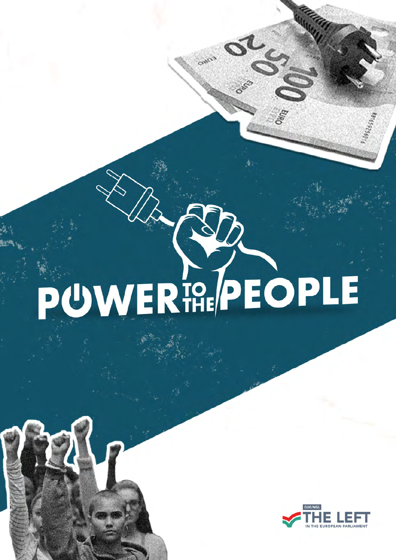# PUWERT PEOPLE

SO



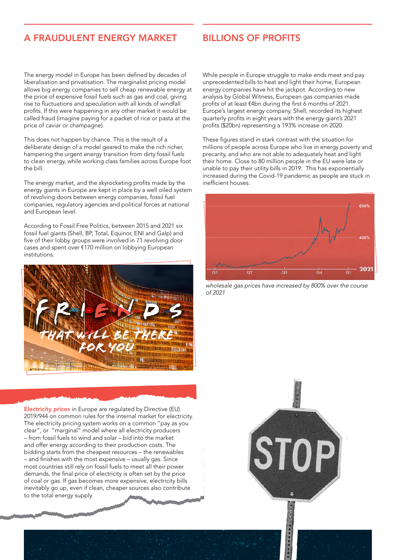# A FRAUDULENT ENERGY MARKET

## BILLIONS OF PROFITS

The energy model in Europe has been defined by decades of liberalisation and privatisation. The marginalist pricing model allows big energy companies to sell cheap renewable energy at the price of expensive fossil fuels such as gas and coal, giving rise to fluctuations and speculation with all kinds of windfall profits. If this were happening in any other market it would be called fraud (imagine paying for a packet of rice or pasta at the price of caviar or champagne).

This does not happen by chance. This is the result of a deliberate design of a model geared to make the rich richer, hampering the urgent energy transition from dirty fossil fuels to clean energy, while working class families across Europe foot the bill.

The energy market, and the skyrocketing profits made by the energy giants in Europe are kept in place by a well oiled system of revolving doors between energy companies, fossil fuel companies, regulatory agencies and political forces at national and European level.

According to Fossil Free Politics, between 2015 and 2021 six fossil fuel giants (Shell, BP, Total, Equinor, ENI and Galp) and five of their lobby groups were involved in 71 revolving door cases and spent over €170 million on lobbying European institutions.



Electricity prices in Europe are regulated by Directive (EU) 2019/944 on common rules for the internal market for electricity. The electricity pricing system works on a common "pay as you clear", or "marginal" model where all electricity producers – from fossil fuels to wind and solar – bid into the market and offer energy according to their production costs. The bidding starts from the cheapest resources – the renewables – and finishes with the most expensive – usually gas. Since most countries still rely on fossil fuels to meet all their power demands, the final price of electricity is often set by the price of coal or gas. If gas becomes more expensive, electricity bills inevitably go up, even if clean, cheaper sources also contribute to the total energy supply.

While people in Europe struggle to make ends meet and pay unprecedented bills to heat and light their home, European energy companies have hit the jackpot. According to new analysis by Global Witness, European gas companies made profits of at least €4bn during the first 6 months of 2021. Europe's largest energy company, Shell, recorded its highest quarterly profits in eight years with the energy giant's 2021 profits (\$20bn) representing a 193% increase on 2020.

These figures stand in stark contrast with the situation for millions of people across Europe who live in energy poverty and precarity, and who are not able to adequately heat and light their home. Close to 80 million people in the EU were late or unable to pay their utility bills in 2019. This has exponentially increased during the Covid-19 pandemic as people are stuck in inefficient houses.



*wholesale gas prices have increased by 800% over the course of 2021*

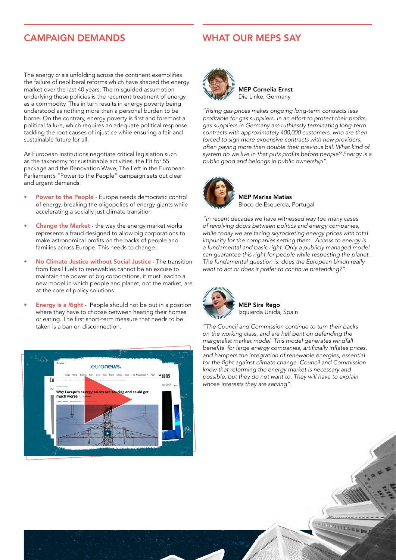# CAMPAIGN DEMANDS

### WHAT OUR MEPS SAY

The energy crisis unfolding across the continent exemplifies the failure of neoliberal reforms which have shaped the energy market over the last 40 years. The misguided assumption underlying these policies is the recurrent treatment of energy as a commodity. This in turn results in energy poverty being understood as nothing more than a personal burden to be borne. On the contrary, energy poverty is first and foremost a political failure, which requires an adequate political response tackling the root causes of injustice while ensuring a fair and sustainable future for all.

As European institutions negotiate critical legislation such as the taxonomy for sustainable activities, the Fit for 55 package and the Renovation Wave, The Left in the European Parliament's "Power to the People" campaign sets out clear and urgent demands:

- Power to the People Europe needs democratic control of energy, breaking the oligopolies of energy giants while accelerating a socially just climate transition
- **Change the Market** the way the energy market works represents a fraud designed to allow big corporations to make astronomical profits on the backs of people and families across Europe. This needs to change.
- No Climate Justice without Social Justice The transition from fossil fuels to renewables cannot be an excuse to maintain the power of big corporations, it must lead to a new model in which people and planet, not the market, are at the core of policy solutions.
- **Energy is a Right** People should not be put in a position where they have to choose between heating their homes or eating. The first short-term measure that needs to be taken is a ban on disconnection.





MEP Cornelia Ernst Die Linke, Germany

*"Rising gas prices makes ongoing long-term contracts less*  profitable for gas suppliers. In an effort to protect their profits, *gas suppliers in Germany are ruthlessly terminating long-term*  contracts with approximately 400,000 customers, who are then forced to sign more expensive contracts with new providers, often paying more than double their previous bill. What kind of system do we live in that puts profits before people? Energy is a public good and belongs in public ownership".



MEP Marisa Matias Bloco de Esquerda, Portugal

"In recent decades we have witnessed way too many cases of revolving doors between politics and energy companies, *while today we are facing skyrocketing energy prices with total*  impunity for the companies setting them. Access to energy is a fundamental and basic right. Only a publicly managed model can guarantee this right for people while respecting the planet. The fundamental question is: does the European Union really want to act or does it prefer to continue pretending?".



MEP Sira Rego Izquierda Unida, Spain

*"The Council and Commission continue to turn their backs*  on the working class, and are hell bent on defending the marginalist market model. This model generates windfall benefits for large energy companies, artificially inflates prices, and hampers the integration of renewable energies, essential for the fight against climate change. Council and Commission *know that reforming the energy market is necessary and*  possible, but they do not want to. They will have to explain whose interests they are serving".

**GRAMMAD DE L'AN**